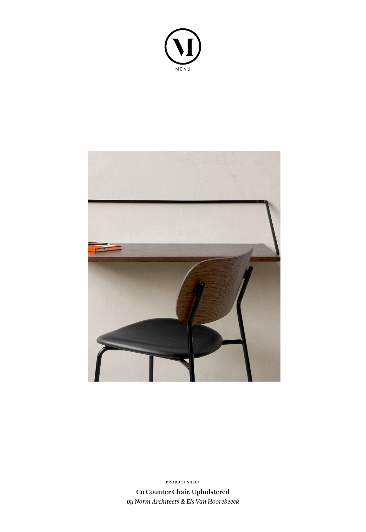



**Co Counter Chair, Upholstered** *by Norm Architects & Els Van Hoorebeeck* **PRODUCT SHEET**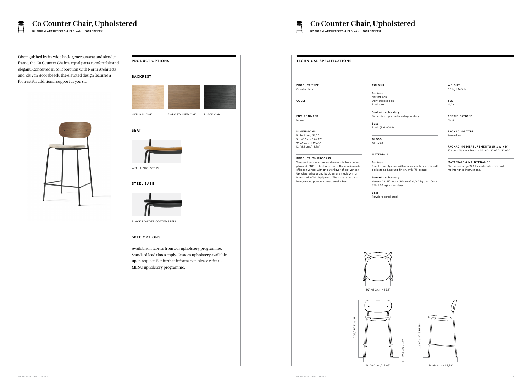l oak tained oak bak

Distinguished by its wide back, generous seat and slender frame, the Co Counter Chair is equal parts comfortable and elegant. Conceived in collaboration with Norm Architects and Els Van Hoorebeeck, the elevated design features a footrest for additional support as you sit.



**Seat with upholstery** endent upon selected upholstery

RAL 9005)

Beech core plywood with oak veneer, black painted/ dark stained/natural finish, with PU lacque

| <b>TECHNICAL SPECIFICATIONS</b>                 |                     |
|-------------------------------------------------|---------------------|
| <b>PRODUCT TYPE</b>                             | <b>COLOUR</b>       |
| Counter chair                                   |                     |
|                                                 | <b>Backrest</b>     |
|                                                 | Natural oc          |
| COLLI                                           | Dark stain          |
| 1                                               | Black oak           |
|                                                 | Seat with           |
| <b>ENVIRONMENT</b>                              | Dependen            |
| Indoor                                          |                     |
|                                                 | Base                |
|                                                 | Black (RAL          |
| <b>DIMENSIONS</b>                               |                     |
| H: 94,5 cm / 37,2"                              |                     |
| SH: 68,5 cm / 26,97"                            | <b>GLOSS</b>        |
| W: 49,4 cm / 19,45"                             | Gloss <sub>20</sub> |
| D: 48,2 cm / 18,98"                             |                     |
|                                                 | MATERIA             |
| <b>PRODUCTION PROCESS</b>                       |                     |
| Veneered seat and backrest are made from curved | <b>Backrest</b>     |

Veneered seat and backrest are made from curved plywood. CNC cut to shape parts. The core is made of beech veneer with an outer layer of oak veneer. Upholstered seat and backrest are made with an inner shell of birch plywood. The base is made of bent, welded powder coated steel tubes.

**MATERIALS & MAINTENANCE** Please see page 940 for materials, care and maintenance instructions.





### **M AT E R I A LS**

### **Seat with upholstery**

Veneer, CAL117 foam (20mm 45N / 40 kg and 10mm 32N / 40 kg), upholstery

**Base**



Powder coated steel

**W E I G H T**  6,5 kg / 14,3 lb

**TEST** N / A

**C E RT I F I CAT I O N S** N / A

**PACKAGING TYPE** Brown box

**PACKAGING MEASUREMENTS (H x W x D)** 102 cm x 56 cm x 56 cm / 40,16" x 22,05" x 22,05"

# Co Counter Chair, Upholstered<br>
BY NORM ARCHITECTS & ELS VAN HOOREBEECK<br>
BY NORM ARCHITECTS & ELS VAN HOOREBEECK

**BY NORM ARCHITECTS & ELS VAN HOOREBEECK BY NORM ARCHITECTS & ELS VAN HOOREBEECK**

 $\overline{\phantom{a}}$ 

## **STEEL BASE**



BLACK POWDER COATED STEEL

## **SPEC OPTIONS**

# **PRODUCT OPTIONS BACKREST** N AT URAL OAK DARK STAINED OAK BLACK OAK WITH UPHOLSTERY **S E AT**

Available in fabrics from our upholstery programme. Standard lead times apply. Custom upholstery available upon request. For further information please refer to MENU upholstery programme.

SW: 41,2 cm / 16,2"

FH: 21,6 cm / 8,5"